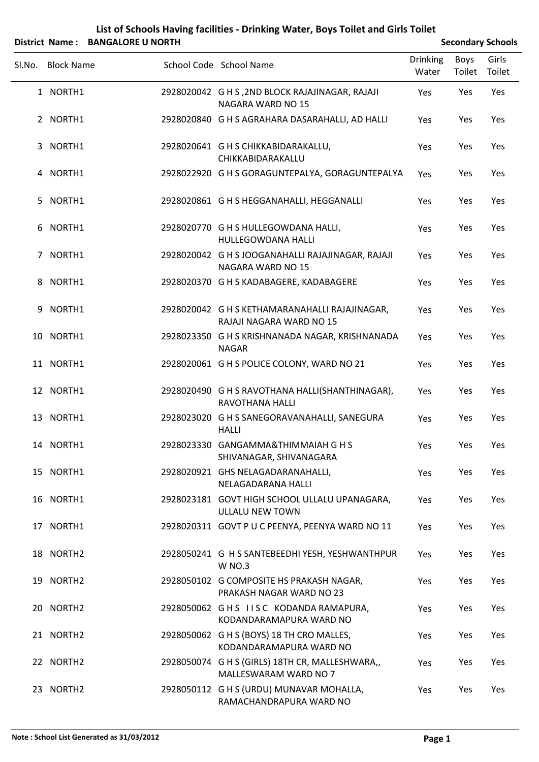## **List of Schools Having facilities ‐ Drinking Water, Boys Toilet and Girls Toilet**

|        |                   | District Name: BANGALORE U NORTH |                                                                            |                          |                | <b>Secondary Schools</b> |
|--------|-------------------|----------------------------------|----------------------------------------------------------------------------|--------------------------|----------------|--------------------------|
| SI.No. | <b>Block Name</b> |                                  | School Code School Name                                                    | <b>Drinking</b><br>Water | Boys<br>Toilet | Girls<br>Toilet          |
|        | 1 NORTH1          |                                  | 2928020042 G H S, 2ND BLOCK RAJAJINAGAR, RAJAJI<br>NAGARA WARD NO 15       | Yes                      | Yes            | Yes                      |
|        | 2 NORTH1          |                                  | 2928020840 G H S AGRAHARA DASARAHALLI, AD HALLI                            | Yes                      | Yes            | Yes                      |
|        | 3 NORTH1          |                                  | 2928020641 G H S CHIKKABIDARAKALLU,<br>CHIKKABIDARAKALLU                   | Yes                      | Yes            | Yes                      |
|        | 4 NORTH1          |                                  | 2928022920 G H S GORAGUNTEPALYA, GORAGUNTEPALYA                            | Yes                      | Yes            | Yes                      |
|        | 5 NORTH1          |                                  | 2928020861 G H S HEGGANAHALLI, HEGGANALLI                                  | Yes                      | Yes            | Yes                      |
|        | 6 NORTH1          |                                  | 2928020770 G H S HULLEGOWDANA HALLI,<br><b>HULLEGOWDANA HALLI</b>          | Yes                      | Yes            | Yes                      |
|        | 7 NORTH1          |                                  | 2928020042 G H S JOOGANAHALLI RAJAJINAGAR, RAJAJI<br>NAGARA WARD NO 15     | <b>Yes</b>               | Yes            | Yes                      |
|        | 8 NORTH1          |                                  | 2928020370 G H S KADABAGERE, KADABAGERE                                    | Yes                      | Yes            | Yes                      |
| 9      | NORTH1            |                                  | 2928020042 G H S KETHAMARANAHALLI RAJAJINAGAR,<br>RAJAJI NAGARA WARD NO 15 | Yes                      | Yes            | Yes                      |
|        | 10 NORTH1         |                                  | 2928023350 G H S KRISHNANADA NAGAR, KRISHNANADA<br><b>NAGAR</b>            | Yes                      | Yes            | Yes                      |
|        | 11 NORTH1         |                                  | 2928020061 G H S POLICE COLONY, WARD NO 21                                 | Yes                      | Yes            | Yes                      |
|        | 12 NORTH1         |                                  | 2928020490 G H S RAVOTHANA HALLI(SHANTHINAGAR),<br>RAVOTHANA HALLI         | Yes                      | Yes            | Yes                      |
|        | 13 NORTH1         |                                  | 2928023020 G H S SANEGORAVANAHALLI, SANEGURA<br><b>HALLI</b>               | Yes                      | Yes            | Yes                      |
|        | 14 NORTH1         |                                  | 2928023330 GANGAMMA&THIMMAIAH G H S<br>SHIVANAGAR, SHIVANAGARA             | Yes                      | Yes            | Yes                      |
|        | 15 NORTH1         |                                  | 2928020921 GHS NELAGADARANAHALLI,<br>NELAGADARANA HALLI                    | Yes                      | Yes            | Yes                      |
|        | 16 NORTH1         |                                  | 2928023181 GOVT HIGH SCHOOL ULLALU UPANAGARA,<br>ULLALU NEW TOWN           | Yes                      | Yes            | Yes                      |
|        | 17 NORTH1         |                                  | 2928020311 GOVT P U C PEENYA, PEENYA WARD NO 11                            | Yes                      | Yes            | Yes                      |
|        | 18 NORTH2         |                                  | 2928050241 G H S SANTEBEEDHI YESH, YESHWANTHPUR<br><b>W NO.3</b>           | Yes                      | Yes            | Yes                      |
|        | 19 NORTH2         |                                  | 2928050102 G COMPOSITE HS PRAKASH NAGAR,<br>PRAKASH NAGAR WARD NO 23       | Yes                      | Yes            | Yes                      |
|        | 20 NORTH2         |                                  | 2928050062 GHS IISC KODANDA RAMAPURA,<br>KODANDARAMAPURA WARD NO           | Yes                      | Yes            | Yes                      |
|        | 21 NORTH2         |                                  | 2928050062 G H S (BOYS) 18 TH CRO MALLES,<br>KODANDARAMAPURA WARD NO       | Yes                      | Yes            | Yes                      |
|        | 22 NORTH2         |                                  | 2928050074 G H S (GIRLS) 18TH CR, MALLESHWARA,,<br>MALLESWARAM WARD NO 7   | Yes                      | Yes            | Yes                      |
|        | 23 NORTH2         |                                  | 2928050112 G H S (URDU) MUNAVAR MOHALLA,<br>RAMACHANDRAPURA WARD NO        | Yes                      | Yes            | Yes                      |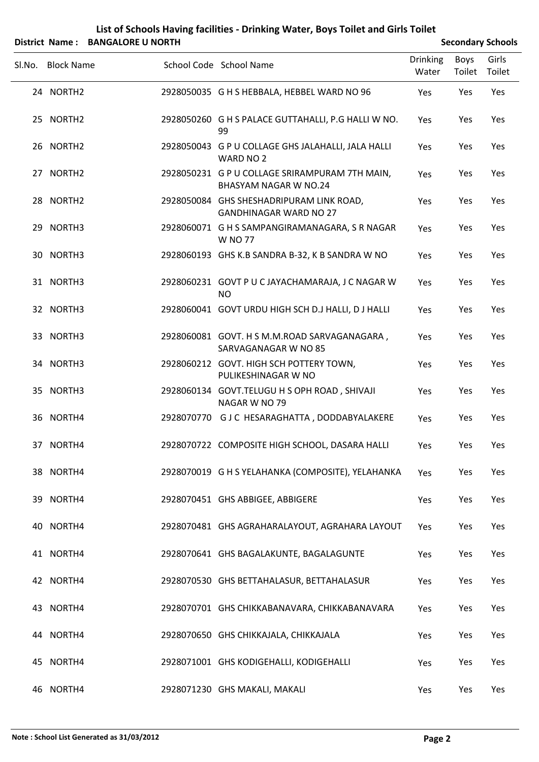## **List of Schools Having facilities ‐ Drinking Water, Boys Toilet and Girls Toilet**

|        |                   | District Name: BANGALORE U NORTH |                                                                           |                          |                | <b>Secondary Schools</b> |
|--------|-------------------|----------------------------------|---------------------------------------------------------------------------|--------------------------|----------------|--------------------------|
| SI.No. | <b>Block Name</b> |                                  | School Code School Name                                                   | <b>Drinking</b><br>Water | Boys<br>Toilet | Girls<br>Toilet          |
|        | 24 NORTH2         |                                  | 2928050035 G H S HEBBALA, HEBBEL WARD NO 96                               | Yes                      | Yes            | Yes                      |
|        | 25 NORTH2         |                                  | 2928050260 G H S PALACE GUTTAHALLI, P.G HALLI W NO.<br>99                 | Yes                      | Yes            | Yes                      |
|        | 26 NORTH2         |                                  | 2928050043 G P U COLLAGE GHS JALAHALLI, JALA HALLI<br>WARD NO 2           | Yes                      | Yes            | Yes                      |
|        | 27 NORTH2         |                                  | 2928050231 G P U COLLAGE SRIRAMPURAM 7TH MAIN,<br>BHASYAM NAGAR W NO.24   | Yes                      | Yes            | Yes                      |
|        | 28 NORTH2         |                                  | 2928050084 GHS SHESHADRIPURAM LINK ROAD,<br><b>GANDHINAGAR WARD NO 27</b> | Yes                      | Yes            | Yes                      |
|        | 29 NORTH3         |                                  | 2928060071 G H S SAMPANGIRAMANAGARA, S R NAGAR<br><b>W NO 77</b>          | Yes                      | Yes            | Yes                      |
|        | 30 NORTH3         |                                  | 2928060193 GHS K.B SANDRA B-32, K B SANDRA W NO                           | Yes                      | Yes            | Yes                      |
|        | 31 NORTH3         |                                  | 2928060231 GOVT P U C JAYACHAMARAJA, J C NAGAR W<br><b>NO</b>             | Yes                      | Yes            | Yes                      |
|        | 32 NORTH3         |                                  | 2928060041 GOVT URDU HIGH SCH D.J HALLI, D J HALLI                        | Yes                      | Yes            | Yes                      |
|        | 33 NORTH3         |                                  | 2928060081 GOVT. H S M.M.ROAD SARVAGANAGARA,<br>SARVAGANAGAR W NO 85      | Yes                      | Yes            | Yes                      |
|        | 34 NORTH3         |                                  | 2928060212 GOVT. HIGH SCH POTTERY TOWN,<br>PULIKESHINAGAR W NO            | Yes                      | Yes            | Yes                      |
|        | 35 NORTH3         |                                  | 2928060134 GOVT.TELUGU H S OPH ROAD, SHIVAJI<br>NAGAR W NO 79             | Yes                      | Yes            | Yes                      |
|        | 36 NORTH4         |                                  | 2928070770 GJC HESARAGHATTA, DODDABYALAKERE                               | Yes                      | Yes            | Yes                      |
|        | 37 NORTH4         |                                  | 2928070722 COMPOSITE HIGH SCHOOL, DASARA HALLI                            | Yes                      | Yes            | Yes                      |
|        | 38 NORTH4         |                                  | 2928070019 G H S YELAHANKA (COMPOSITE), YELAHANKA                         | Yes                      | Yes            | Yes                      |
|        | 39 NORTH4         |                                  | 2928070451 GHS ABBIGEE, ABBIGERE                                          | Yes                      | Yes            | Yes                      |
|        | 40 NORTH4         |                                  | 2928070481 GHS AGRAHARALAYOUT, AGRAHARA LAYOUT                            | Yes                      | Yes            | Yes                      |
|        | 41 NORTH4         |                                  | 2928070641 GHS BAGALAKUNTE, BAGALAGUNTE                                   | Yes                      | Yes            | Yes                      |
|        | 42 NORTH4         |                                  | 2928070530 GHS BETTAHALASUR, BETTAHALASUR                                 | Yes                      | Yes            | Yes                      |
|        | 43 NORTH4         |                                  | 2928070701 GHS CHIKKABANAVARA, CHIKKABANAVARA                             | Yes                      | Yes            | Yes                      |
|        | 44 NORTH4         |                                  | 2928070650 GHS CHIKKAJALA, CHIKKAJALA                                     | Yes                      | Yes            | Yes                      |
|        | 45 NORTH4         |                                  | 2928071001 GHS KODIGEHALLI, KODIGEHALLI                                   | Yes                      | Yes            | Yes                      |
|        | 46 NORTH4         |                                  | 2928071230 GHS MAKALI, MAKALI                                             | Yes                      | Yes            | Yes                      |